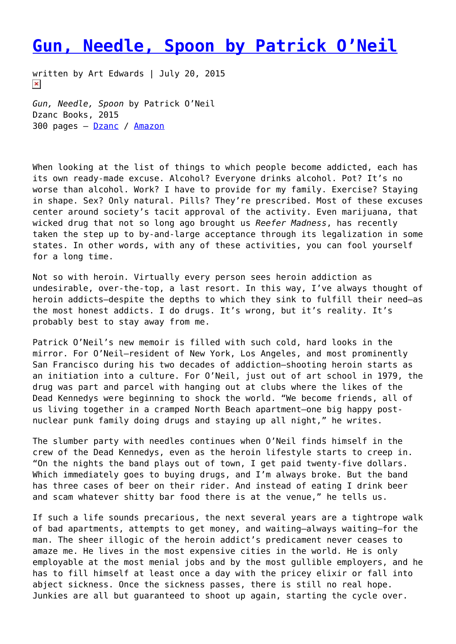## **[Gun, Needle, Spoon by Patrick O'Neil](https://entropymag.org/gun-needle-spoon-by-patrick-oneil/)**

written by Art Edwards | July 20, 2015  $\pmb{\times}$ 

*Gun, Needle, Spoon* by Patrick O'Neil Dzanc Books, 2015 300 pages – [Dzanc](http://www.dzancbooks.org/our-books/gun-needle-spoon-by-patrick-oneil) / [Amazon](http://www.amazon.com/Gun-Needle-Spoon-Patrick-ONeil/dp/1936873575/ref=sr_1_1?ie=UTF8&qid=1436865580&sr=8-1&keywords=gun+needle+spoon)

When looking at the list of things to which people become addicted, each has its own ready-made excuse. Alcohol? Everyone drinks alcohol. Pot? It's no worse than alcohol. Work? I have to provide for my family. Exercise? Staying in shape. Sex? Only natural. Pills? They're prescribed. Most of these excuses center around society's tacit approval of the activity. Even marijuana, that wicked drug that not so long ago brought us *Reefer Madness*, has recently taken the step up to by-and-large acceptance through its legalization in some states. In other words, with any of these activities, you can fool yourself for a long time.

Not so with heroin. Virtually every person sees heroin addiction as undesirable, over-the-top, a last resort. In this way, I've always thought of heroin addicts—despite the depths to which they sink to fulfill their need—as the most honest addicts. I do drugs. It's wrong, but it's reality. It's probably best to stay away from me.

Patrick O'Neil's new memoir is filled with such cold, hard looks in the mirror. For O'Neil—resident of New York, Los Angeles, and most prominently San Francisco during his two decades of addiction—shooting heroin starts as an initiation into a culture. For O'Neil, just out of art school in 1979, the drug was part and parcel with hanging out at clubs where the likes of the Dead Kennedys were beginning to shock the world. "We become friends, all of us living together in a cramped North Beach apartment—one big happy postnuclear punk family doing drugs and staying up all night," he writes.

The slumber party with needles continues when O'Neil finds himself in the crew of the Dead Kennedys, even as the heroin lifestyle starts to creep in. "On the nights the band plays out of town, I get paid twenty-five dollars. Which immediately goes to buying drugs, and I'm always broke. But the band has three cases of beer on their rider. And instead of eating I drink beer and scam whatever shitty bar food there is at the venue," he tells us.

If such a life sounds precarious, the next several years are a tightrope walk of bad apartments, attempts to get money, and waiting—always waiting—for the man. The sheer illogic of the heroin addict's predicament never ceases to amaze me. He lives in the most expensive cities in the world. He is only employable at the most menial jobs and by the most gullible employers, and he has to fill himself at least once a day with the pricey elixir or fall into abject sickness. Once the sickness passes, there is still no real hope. Junkies are all but guaranteed to shoot up again, starting the cycle over.